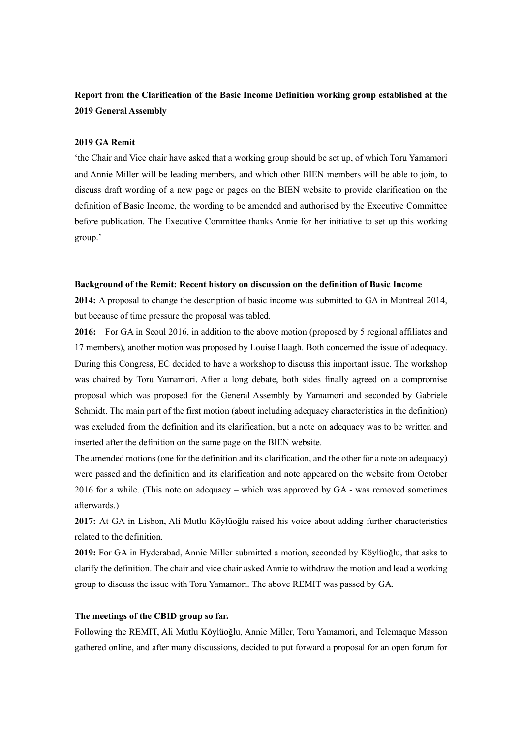# **Report from the Clarification of the Basic Income Definition working group established at the 2019 General Assembly**

#### **2019 GA Remit**

'the Chair and Vice chair have asked that a working group should be set up, of which Toru Yamamori and Annie Miller will be leading members, and which other BIEN members will be able to join, to discuss draft wording of a new page or pages on the BIEN website to provide clarification on the definition of Basic Income, the wording to be amended and authorised by the Executive Committee before publication. The Executive Committee thanks Annie for her initiative to set up this working group.'

#### **Background of the Remit: Recent history on discussion on the definition of Basic Income**

**2014:** A proposal to change the description of basic income was submitted to GA in Montreal 2014, but because of time pressure the proposal was tabled.

**2016:** For GA in Seoul 2016, in addition to the above motion (proposed by 5 regional affiliates and 17 members), another motion was proposed by Louise Haagh. Both concerned the issue of adequacy. During this Congress, EC decided to have a workshop to discuss this important issue. The workshop was chaired by Toru Yamamori. After a long debate, both sides finally agreed on a compromise proposal which was proposed for the General Assembly by Yamamori and seconded by Gabriele Schmidt. The main part of the first motion (about including adequacy characteristics in the definition) was excluded from the definition and its clarification, but a note on adequacy was to be written and inserted after the definition on the same page on the BIEN website.

The amended motions (one for the definition and its clarification, and the other for a note on adequacy) were passed and the definition and its clarification and note appeared on the website from October 2016 for a while. (This note on adequacy – which was approved by GA - was removed sometimes afterwards.)

**2017:** At GA in Lisbon, Ali Mutlu Köylüoğlu raised his voice about adding further characteristics related to the definition.

**2019:** For GA in Hyderabad, Annie Miller submitted a motion, seconded by Köylüoğlu, that asks to clarify the definition. The chair and vice chair asked Annie to withdraw the motion and lead a working group to discuss the issue with Toru Yamamori. The above REMIT was passed by GA.

#### **The meetings of the CBID group so far.**

Following the REMIT, Ali Mutlu Köylüoğlu, Annie Miller, Toru Yamamori, and Telemaque Masson gathered online, and after many discussions, decided to put forward a proposal for an open forum for